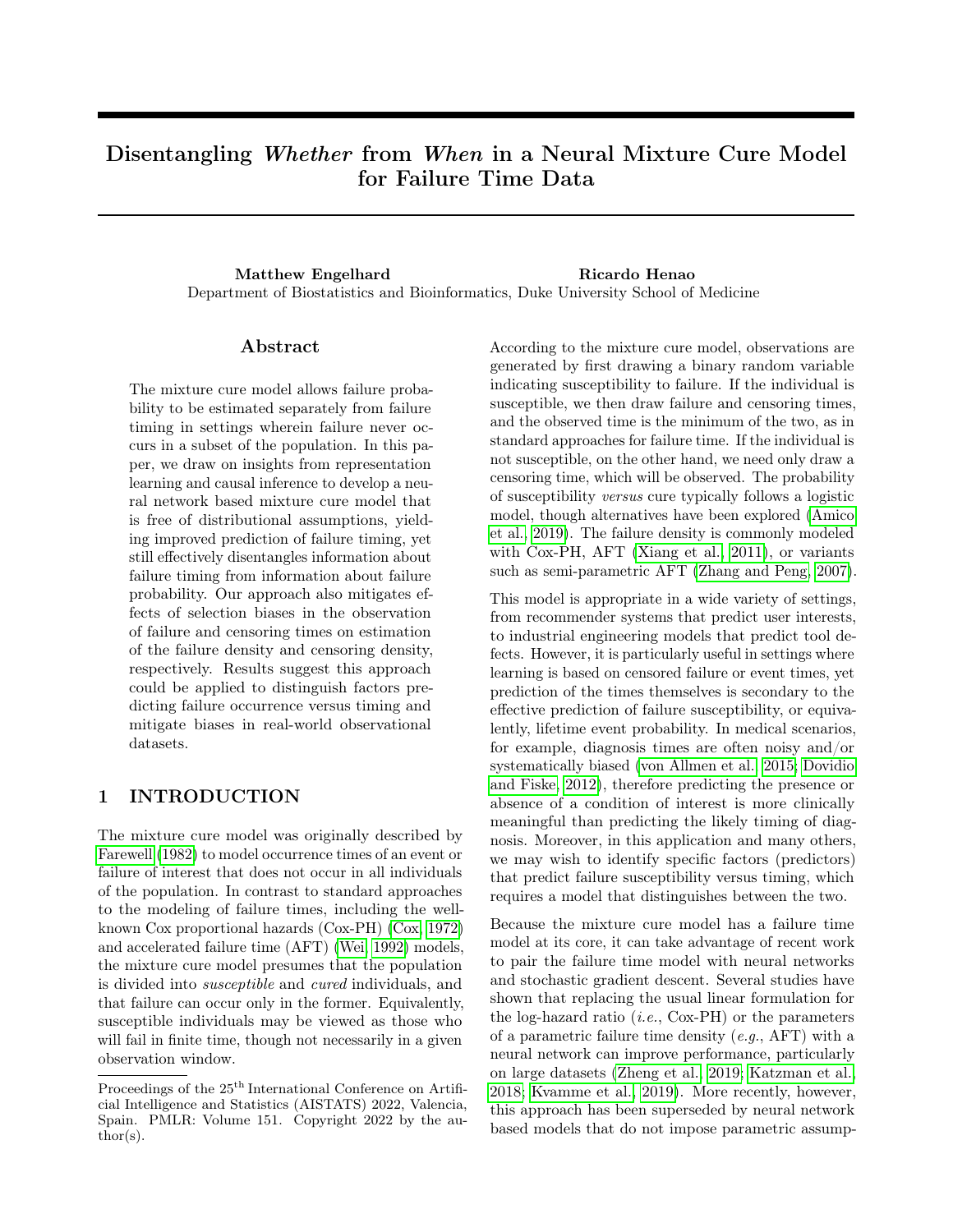# Disentangling Whether from When in a Neural Mixture Cure Model for Failure Time Data

Matthew Engelhard Ricardo Henao Department of Biostatistics and Bioinformatics, Duke University School of Medicine

## Abstract

The mixture cure model allows failure probability to be estimated separately from failure timing in settings wherein failure never occurs in a subset of the population. In this paper, we draw on insights from representation learning and causal inference to develop a neural network based mixture cure model that is free of distributional assumptions, yielding improved prediction of failure timing, yet still effectively disentangles information about failure timing from information about failure probability. Our approach also mitigates effects of selection biases in the observation of failure and censoring times on estimation of the failure density and censoring density, respectively. Results suggest this approach could be applied to distinguish factors predicting failure occurrence versus timing and mitigate biases in real-world observational datasets.

# 1 INTRODUCTION

The mixture cure model was originally described by [Farewell](#page-8-0) [\(1982\)](#page-8-0) to model occurrence times of an event or failure of interest that does not occur in all individuals of the population. In contrast to standard approaches to the modeling of failure times, including the wellknown Cox proportional hazards (Cox-PH) [\(Cox, 1972\)](#page-8-1) and accelerated failure time (AFT) [\(Wei, 1992\)](#page-8-2) models, the mixture cure model presumes that the population is divided into susceptible and cured individuals, and that failure can occur only in the former. Equivalently, susceptible individuals may be viewed as those who will fail in finite time, though not necessarily in a given observation window.

According to the mixture cure model, observations are generated by first drawing a binary random variable indicating susceptibility to failure. If the individual is susceptible, we then draw failure and censoring times, and the observed time is the minimum of the two, as in standard approaches for failure time. If the individual is not susceptible, on the other hand, we need only draw a censoring time, which will be observed. The probability of susceptibility versus cure typically follows a logistic model, though alternatives have been explored [\(Amico](#page-8-3) [et al., 2019\)](#page-8-3). The failure density is commonly modeled with Cox-PH, AFT [\(Xiang et al., 2011\)](#page-8-4), or variants such as semi-parametric AFT [\(Zhang and Peng, 2007\)](#page-8-5).

This model is appropriate in a wide variety of settings, from recommender systems that predict user interests, to industrial engineering models that predict tool defects. However, it is particularly useful in settings where learning is based on censored failure or event times, yet prediction of the times themselves is secondary to the effective prediction of failure susceptibility, or equivalently, lifetime event probability. In medical scenarios, for example, diagnosis times are often noisy and/or systematically biased [\(von Allmen et al., 2015;](#page-8-6) [Dovidio](#page-8-7) [and Fiske, 2012\)](#page-8-7), therefore predicting the presence or absence of a condition of interest is more clinically meaningful than predicting the likely timing of diagnosis. Moreover, in this application and many others, we may wish to identify specific factors (predictors) that predict failure susceptibility versus timing, which requires a model that distinguishes between the two.

Because the mixture cure model has a failure time model at its core, it can take advantage of recent work to pair the failure time model with neural networks and stochastic gradient descent. Several studies have shown that replacing the usual linear formulation for the log-hazard ratio  $(i.e., Cox-PH)$  or the parameters of a parametric failure time density  $(e.g., AFT)$  with a neural network can improve performance, particularly on large datasets [\(Zheng et al., 2019;](#page-8-8) [Katzman et al.,](#page-8-9) [2018;](#page-8-9) [Kvamme et al., 2019\)](#page-8-10). More recently, however, this approach has been superseded by neural network based models that do not impose parametric assump-

Proceedings of the  $25<sup>th</sup>$  International Conference on Artificial Intelligence and Statistics (AISTATS) 2022, Valencia, Spain. PMLR: Volume 151. Copyright 2022 by the au- $\text{thor}(s)$ .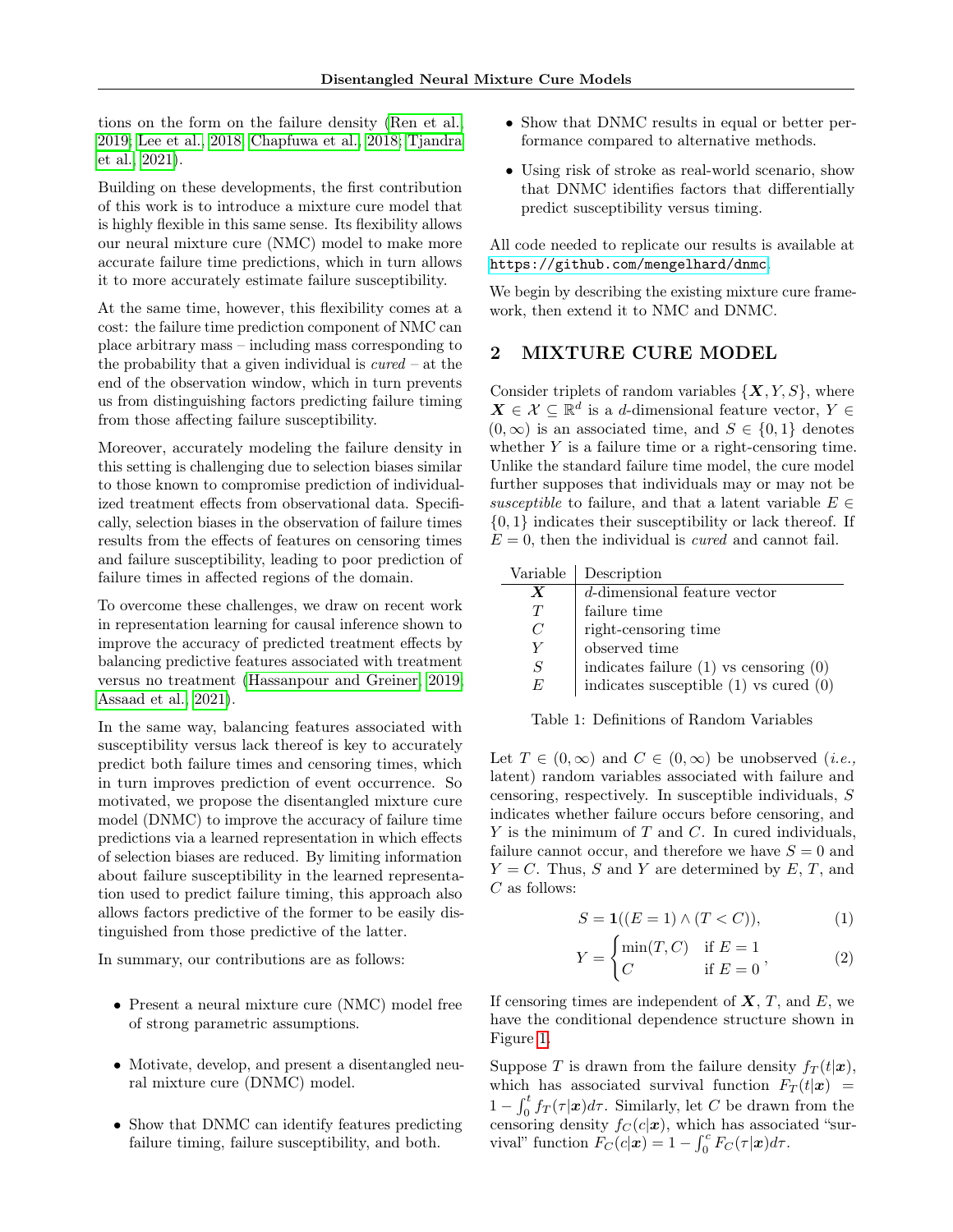tions on the form on the failure density [\(Ren et al.,](#page-8-11) [2019;](#page-8-11) [Lee et al., 2018;](#page-9-0) [Chapfuwa et al., 2018;](#page-9-1) [Tjandra](#page-9-2) [et al., 2021\)](#page-9-2).

Building on these developments, the first contribution of this work is to introduce a mixture cure model that is highly flexible in this same sense. Its flexibility allows our neural mixture cure (NMC) model to make more accurate failure time predictions, which in turn allows it to more accurately estimate failure susceptibility.

At the same time, however, this flexibility comes at a cost: the failure time prediction component of NMC can place arbitrary mass – including mass corresponding to the probability that a given individual is  $cured - at$  the end of the observation window, which in turn prevents us from distinguishing factors predicting failure timing from those affecting failure susceptibility.

Moreover, accurately modeling the failure density in this setting is challenging due to selection biases similar to those known to compromise prediction of individualized treatment effects from observational data. Specifically, selection biases in the observation of failure times results from the effects of features on censoring times and failure susceptibility, leading to poor prediction of failure times in affected regions of the domain.

To overcome these challenges, we draw on recent work in representation learning for causal inference shown to improve the accuracy of predicted treatment effects by balancing predictive features associated with treatment versus no treatment [\(Hassanpour and Greiner, 2019;](#page-9-3) [Assaad et al., 2021\)](#page-9-4).

In the same way, balancing features associated with susceptibility versus lack thereof is key to accurately predict both failure times and censoring times, which in turn improves prediction of event occurrence. So motivated, we propose the disentangled mixture cure model (DNMC) to improve the accuracy of failure time predictions via a learned representation in which effects of selection biases are reduced. By limiting information about failure susceptibility in the learned representation used to predict failure timing, this approach also allows factors predictive of the former to be easily distinguished from those predictive of the latter.

In summary, our contributions are as follows:

- Present a neural mixture cure (NMC) model free of strong parametric assumptions.
- Motivate, develop, and present a disentangled neural mixture cure (DNMC) model.
- Show that DNMC can identify features predicting failure timing, failure susceptibility, and both.
- Show that DNMC results in equal or better performance compared to alternative methods.
- Using risk of stroke as real-world scenario, show that DNMC identifies factors that differentially predict susceptibility versus timing.

All code needed to replicate our results is available at <https://github.com/mengelhard/dnmc>.

We begin by describing the existing mixture cure framework, then extend it to NMC and DNMC.

# 2 MIXTURE CURE MODEL

Consider triplets of random variables  $\{X, Y, S\}$ , where  $\mathbf{X} \in \mathcal{X} \subseteq \mathbb{R}^d$  is a d-dimensional feature vector,  $Y \in$  $(0, \infty)$  is an associated time, and  $S \in \{0, 1\}$  denotes whether  $Y$  is a failure time or a right-censoring time. Unlike the standard failure time model, the cure model further supposes that individuals may or may not be susceptible to failure, and that a latent variable  $E \in$  $\{0,1\}$  indicates their susceptibility or lack thereof. If  $E = 0$ , then the individual is *cured* and cannot fail.

| Variable         | Description                                |
|------------------|--------------------------------------------|
| $\boldsymbol{X}$ | $\overline{d}$ -dimensional feature vector |
| T                | failure time                               |
| C                | right-censoring time                       |
| V                | observed time                              |
| S                | indicates failure $(1)$ vs censoring $(0)$ |
| F,               | indicates susceptible $(1)$ vs cured $(0)$ |

Table 1: Definitions of Random Variables

Let  $T \in (0,\infty)$  and  $C \in (0,\infty)$  be unobserved (*i.e.*, latent) random variables associated with failure and censoring, respectively. In susceptible individuals, S indicates whether failure occurs before censoring, and Y is the minimum of  $T$  and  $C$ . In cured individuals, failure cannot occur, and therefore we have  $S = 0$  and  $Y = C$ . Thus, S and Y are determined by E, T, and  $\mathcal C$  as follows:

$$
S = \mathbf{1}((E = 1) \land (T < C)),\tag{1}
$$

$$
Y = \begin{cases} \min(T, C) & \text{if } E = 1 \\ C & \text{if } E = 0 \end{cases}, \tag{2}
$$

If censoring times are independent of  $X, T$ , and  $E$ , we have the conditional dependence structure shown in Figure [1.](#page-2-0)

Suppose T is drawn from the failure density  $f_T(t|\mathbf{x})$ , which has associated survival function  $F_T(t|\mathbf{x})$  =  $1 - \int_0^t f_T(\tau|\mathbf{x})d\tau$ . Similarly, let C be drawn from the censoring density  $f_C(c|\mathbf{x})$ , which has associated "survival" function  $F_C(c|\mathbf{x}) = 1 - \int_0^c F_C(\tau|\mathbf{x}) d\tau$ .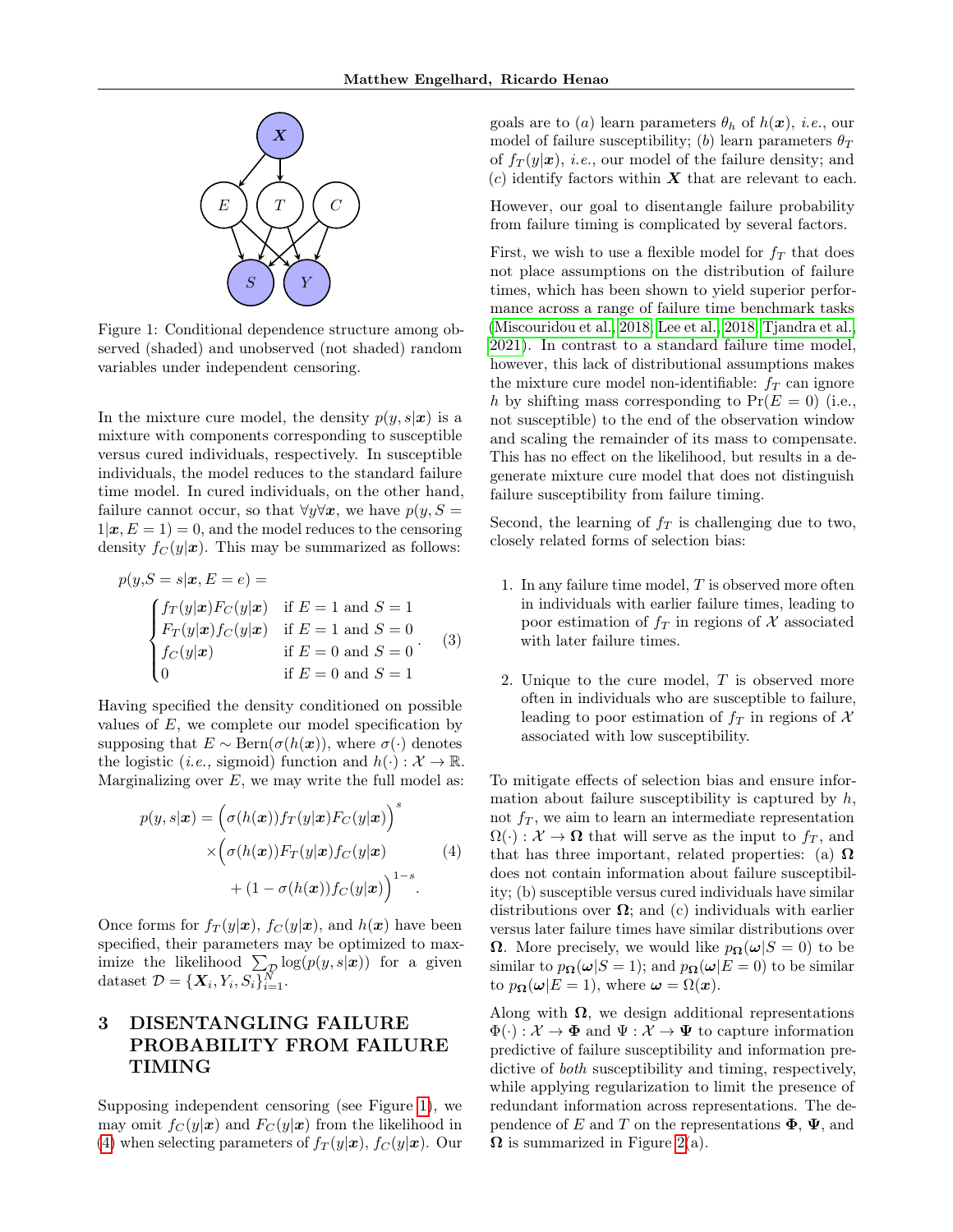<span id="page-2-0"></span>

Figure 1: Conditional dependence structure among observed (shaded) and unobserved (not shaded) random variables under independent censoring.

In the mixture cure model, the density  $p(y, s|x)$  is a mixture with components corresponding to susceptible versus cured individuals, respectively. In susceptible individuals, the model reduces to the standard failure time model. In cured individuals, on the other hand, failure cannot occur, so that  $\forall y \forall x$ , we have  $p(y, S =$  $1|\mathbf{x}, E = 1$  = 0, and the model reduces to the censoring density  $f_C(y|\mathbf{x})$ . This may be summarized as follows:

$$
p(y, S = s | \mathbf{x}, E = e) =
$$
  
\n
$$
\begin{cases}\nf_T(y | \mathbf{x}) F_C(y | \mathbf{x}) & \text{if } E = 1 \text{ and } S = 1 \\
F_T(y | \mathbf{x}) f_C(y | \mathbf{x}) & \text{if } E = 1 \text{ and } S = 0 \\
f_C(y | \mathbf{x}) & \text{if } E = 0 \text{ and } S = 0 \\
0 & \text{if } E = 0 \text{ and } S = 1\n\end{cases}
$$
(3)

Having specified the density conditioned on possible values of  $E$ , we complete our model specification by supposing that  $E \sim \text{Bern}(\sigma(h(\boldsymbol{x}))$ , where  $\sigma(\cdot)$  denotes the logistic (*i.e.*, sigmoid) function and  $h(\cdot): \mathcal{X} \to \mathbb{R}$ . Marginalizing over  $E$ , we may write the full model as:

$$
p(y, s|\mathbf{x}) = (\sigma(h(\mathbf{x})) f_T(y|\mathbf{x}) F_C(y|\mathbf{x}))^s
$$
  
 
$$
\times (\sigma(h(\mathbf{x})) F_T(y|\mathbf{x}) f_C(y|\mathbf{x})
$$
  
 
$$
+ (1 - \sigma(h(\mathbf{x})) f_C(y|\mathbf{x}))^{1-s}.
$$
 (4)

Once forms for  $f_T(y|\mathbf{x})$ ,  $f_C(y|\mathbf{x})$ , and  $h(\mathbf{x})$  have been specified, their parameters may be optimized to maximize the likelihood  $\sum_{\mathcal{D}} \log(p(y, s|\mathbf{x}))$  for a given dataset  $\mathcal{D} = {\mathbf{X}_i, Y_i, S_i}_{i=1}^N$ .

# 3 DISENTANGLING FAILURE PROBABILITY FROM FAILURE TIMING

Supposing independent censoring (see Figure [1\)](#page-2-0), we may omit  $f_C(y|\mathbf{x})$  and  $F_C(y|\mathbf{x})$  from the likelihood in [\(4\)](#page-2-1) when selecting parameters of  $f_T(y|\mathbf{x})$ ,  $f_C(y|\mathbf{x})$ . Our goals are to (a) learn parameters  $\theta_h$  of  $h(\boldsymbol{x})$ , *i.e.*, our model of failure susceptibility; (b) learn parameters  $\theta_T$ of  $f_T(y|\mathbf{x})$ , *i.e.*, our model of the failure density; and (c) identify factors within  $\boldsymbol{X}$  that are relevant to each.

However, our goal to disentangle failure probability from failure timing is complicated by several factors.

First, we wish to use a flexible model for  $f<sub>T</sub>$  that does not place assumptions on the distribution of failure times, which has been shown to yield superior performance across a range of failure time benchmark tasks [\(Miscouridou et al., 2018;](#page-9-5) [Lee et al., 2018;](#page-9-0) [Tjandra et al.,](#page-9-2) [2021\)](#page-9-2). In contrast to a standard failure time model, however, this lack of distributional assumptions makes the mixture cure model non-identifiable:  $f_T$  can ignore h by shifting mass corresponding to  $Pr(E = 0)$  (i.e., not susceptible) to the end of the observation window and scaling the remainder of its mass to compensate. This has no effect on the likelihood, but results in a degenerate mixture cure model that does not distinguish failure susceptibility from failure timing.

Second, the learning of  $f<sub>T</sub>$  is challenging due to two, closely related forms of selection bias:

- 1. In any failure time model, T is observed more often in individuals with earlier failure times, leading to poor estimation of  $f_T$  in regions of X associated with later failure times.
- 2. Unique to the cure model,  $T$  is observed more often in individuals who are susceptible to failure, leading to poor estimation of  $f<sub>T</sub>$  in regions of X associated with low susceptibility.

<span id="page-2-1"></span>To mitigate effects of selection bias and ensure information about failure susceptibility is captured by  $h$ , not  $f_T$ , we aim to learn an intermediate representation  $\Omega(\cdot): \mathcal{X} \to \Omega$  that will serve as the input to  $f_T$ , and that has three important, related properties: (a)  $\Omega$ does not contain information about failure susceptibility; (b) susceptible versus cured individuals have similar distributions over  $\Omega$ ; and (c) individuals with earlier versus later failure times have similar distributions over **Ω**. More precisely, we would like  $p_{\Omega}(\omega|S=0)$  to be similar to  $p_{\Omega}(\omega|S=1)$ ; and  $p_{\Omega}(\omega|E=0)$  to be similar to  $p_{\mathbf{\Omega}}(\omega|E=1)$ , where  $\omega = \Omega(x)$ .

Along with  $\Omega$ , we design additional representations  $\Phi(\cdot): \mathcal{X} \to \Phi$  and  $\Psi: \mathcal{X} \to \Psi$  to capture information predictive of failure susceptibility and information predictive of both susceptibility and timing, respectively, while applying regularization to limit the presence of redundant information across representations. The dependence of E and T on the representations  $\Phi$ ,  $\Psi$ , and  $\Omega$  is summarized in Figure [2\(](#page-4-0)a).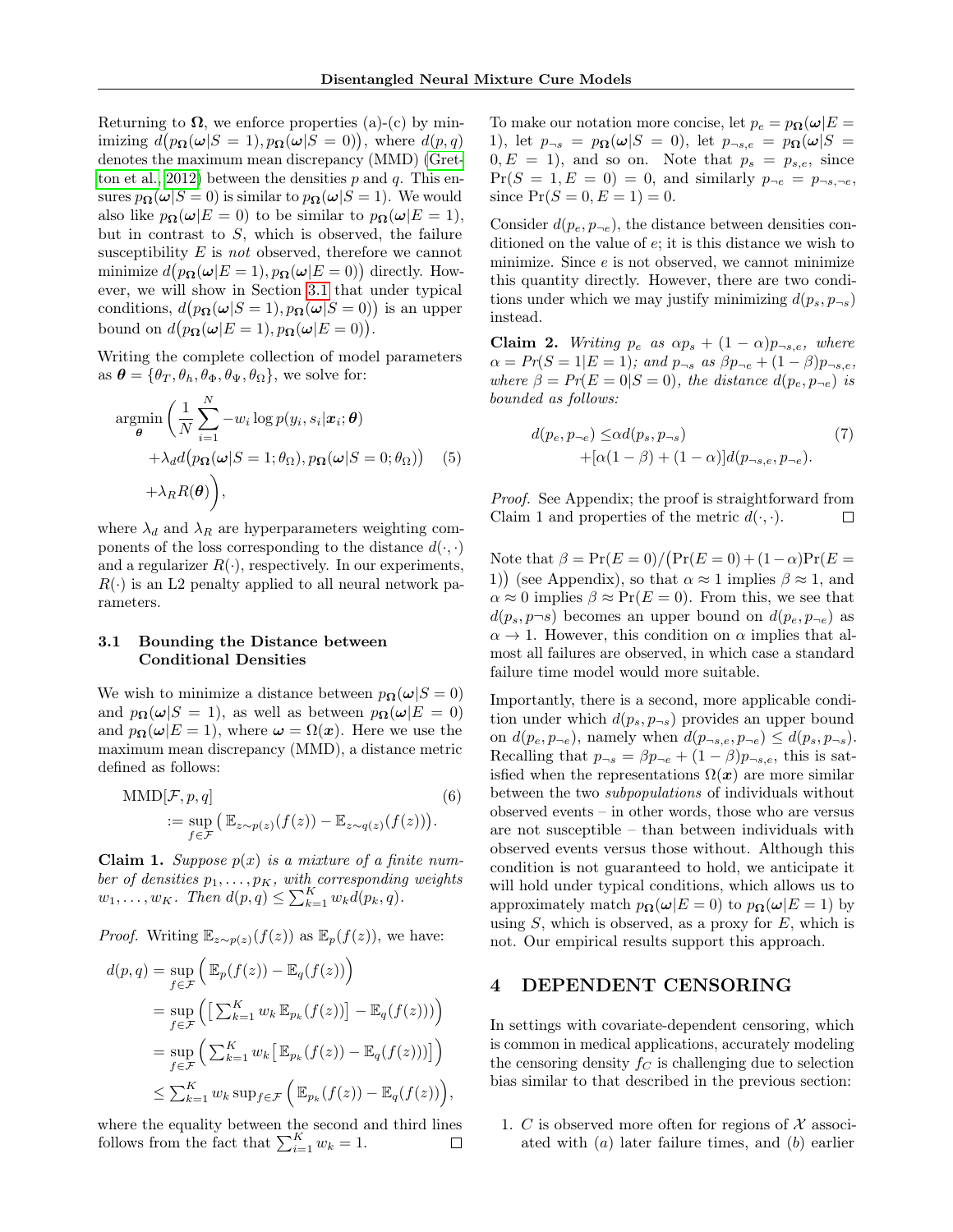Returning to  $\Omega$ , we enforce properties (a)-(c) by minimizing  $d(p_{\mathbf{\Omega}}(\omega|S=1), p_{\mathbf{\Omega}}(\omega|S=0)),$  where  $d(p,q)$ denotes the maximum mean discrepancy (MMD) [\(Gret](#page-9-6)[ton et al., 2012\)](#page-9-6) between the densities  $p$  and  $q$ . This ensures  $p_{\Omega}(\omega|S=0)$  is similar to  $p_{\Omega}(\omega|S=1)$ . We would also like  $p_{\Omega}(\omega|E=0)$  to be similar to  $p_{\Omega}(\omega|E=1)$ , but in contrast to  $S$ , which is observed, the failure susceptibility  $E$  is *not* observed, therefore we cannot minimize  $d(p_{\Omega}(\omega|E=1), p_{\Omega}(\omega|E=0))$  directly. However, we will show in Section [3.1](#page-3-0) that under typical conditions,  $d(p_{\mathbf{\Omega}}(\omega|S=1), p_{\mathbf{\Omega}}(\omega|S=0))$  is an upper bound on  $d(p_{\mathbf{\Omega}}(\omega|E=1), p_{\mathbf{\Omega}}(\omega|E=0)).$ 

Writing the complete collection of model parameters as  $\boldsymbol{\theta} = {\theta_T, \theta_h, \theta_{\Phi}, \theta_{\Psi}, \theta_{\Omega}}$ , we solve for:

$$
\operatorname*{argmin}_{\boldsymbol{\theta}} \left( \frac{1}{N} \sum_{i=1}^{N} -w_i \log p(y_i, s_i | \boldsymbol{x}_i; \boldsymbol{\theta}) + \lambda_d d(p_{\boldsymbol{\Omega}}(\boldsymbol{\omega}|S=1; \theta_{\boldsymbol{\Omega}}), p_{\boldsymbol{\Omega}}(\boldsymbol{\omega}|S=0; \theta_{\boldsymbol{\Omega}})) \right) \tag{5}
$$

$$
+ \lambda_R R(\boldsymbol{\theta}) \bigg),
$$

where  $\lambda_d$  and  $\lambda_R$  are hyperparameters weighting components of the loss corresponding to the distance  $d(\cdot, \cdot)$ and a regularizer  $R(\cdot)$ , respectively. In our experiments,  $R(\cdot)$  is an L2 penalty applied to all neural network parameters.

## <span id="page-3-0"></span>3.1 Bounding the Distance between Conditional Densities

We wish to minimize a distance between  $p_{\Omega}(\omega|S=0)$ and  $p_{\Omega}(\omega|S=1)$ , as well as between  $p_{\Omega}(\omega|E=0)$ and  $p_{\Omega}(\omega|E=1)$ , where  $\omega = \Omega(x)$ . Here we use the maximum mean discrepancy (MMD), a distance metric defined as follows:

$$
\text{MMD}[\mathcal{F}, p, q] \tag{6}
$$
\n
$$
:= \sup_{f \in \mathcal{F}} \left( \mathbb{E}_{z \sim p(z)}(f(z)) - \mathbb{E}_{z \sim q(z)}(f(z)) \right).
$$

**Claim 1.** Suppose  $p(x)$  is a mixture of a finite number of densities  $p_1, \ldots, p_K$ , with corresponding weights  $w_1, \ldots, w_K$ . Then  $d(p, q) \le \sum_{k=1}^K w_k d(p_k, q)$ .

*Proof.* Writing  $\mathbb{E}_{z \sim p(z)}(f(z))$  as  $\mathbb{E}_p(f(z))$ , we have:

$$
d(p,q) = \sup_{f \in \mathcal{F}} \left( \mathbb{E}_p(f(z)) - \mathbb{E}_q(f(z)) \right)
$$
  
= 
$$
\sup_{f \in \mathcal{F}} \left( \left[ \sum_{k=1}^K w_k \mathbb{E}_{p_k}(f(z)) \right] - \mathbb{E}_q(f(z)) \right)
$$
  
= 
$$
\sup_{f \in \mathcal{F}} \left( \sum_{k=1}^K w_k \left[ \mathbb{E}_{p_k}(f(z)) - \mathbb{E}_q(f(z)) \right] \right)
$$
  

$$
\leq \sum_{k=1}^K w_k \sup_{f \in \mathcal{F}} \left( \mathbb{E}_{p_k}(f(z)) - \mathbb{E}_q(f(z)) \right),
$$

where the equality between the second and third lines follows from the fact that  $\sum_{i=1}^{K} w_k = 1$ .  $\Box$  To make our notation more concise, let  $p_e = p_{\Omega}(\omega)E =$ 1), let  $p_{\neg s} = p_{\Omega}(\omega|S = 0)$ , let  $p_{\neg s,e} = p_{\Omega}(\omega|S = 1)$  $0, E = 1$ , and so on. Note that  $p_s = p_{s,e}$ , since  $Pr(S = 1, E = 0) = 0$ , and similarly  $p_{\neg e} = p_{\neg s, \neg e}$ , since  $Pr(S = 0, E = 1) = 0$ .

Consider  $d(p_e, p_{\neg e})$ , the distance between densities conditioned on the value of e; it is this distance we wish to minimize. Since  $e$  is not observed, we cannot minimize this quantity directly. However, there are two conditions under which we may justify minimizing  $d(p_s, p_{\neg s})$ instead.

Claim 2. Writing  $p_e$  as  $\alpha p_s + (1 - \alpha)p_{-s,e}$ , where  $\alpha = Pr(S = 1|E = 1);$  and  $p_{\neg s}$  as  $\beta p_{\neg e} + (1 - \beta)p_{\neg s, e}$ , where  $\beta = Pr(E = 0|S = 0)$ , the distance  $d(p_e, p_{\neg e})$  is bounded as follows:

$$
d(p_e, p_{\neg e}) \leq \alpha d(p_s, p_{\neg s})
$$
  
+( $\alpha$ (1 -  $\beta$ ) + (1 -  $\alpha$ )] $d(p_{\neg s,e}, p_{\neg e})$ . (7)

<span id="page-3-1"></span>Proof. See Appendix; the proof is straightforward from Claim 1 and properties of the metric  $d(\cdot, \cdot)$ .  $\Box$ 

Note that  $\beta = \Pr(E=0) / (\Pr(E=0) + (1-\alpha)\Pr(E=0))$ 1)) (see Appendix), so that  $\alpha \approx 1$  implies  $\beta \approx 1$ , and  $\alpha \approx 0$  implies  $\beta \approx \Pr(E = 0)$ . From this, we see that  $d(p_s, p \neg s)$  becomes an upper bound on  $d(p_e, p_{\neg e})$  as  $\alpha \rightarrow 1$ . However, this condition on  $\alpha$  implies that almost all failures are observed, in which case a standard failure time model would more suitable.

Importantly, there is a second, more applicable condition under which  $d(p_s, p_{\neg s})$  provides an upper bound on  $d(p_e, p_{\neg e})$ , namely when  $d(p_{\neg s,e}, p_{\neg e}) \leq d(p_s, p_{\neg s})$ . Recalling that  $p_{\neg s} = \beta p_{\neg e} + (1 - \beta) p_{\neg s, e}$ , this is satisfied when the representations  $\Omega(x)$  are more similar between the two subpopulations of individuals without observed events – in other words, those who are versus are not susceptible – than between individuals with observed events versus those without. Although this condition is not guaranteed to hold, we anticipate it will hold under typical conditions, which allows us to approximately match  $p_{\Omega}(\omega|E=0)$  to  $p_{\Omega}(\omega|E=1)$  by using  $S$ , which is observed, as a proxy for  $E$ , which is not. Our empirical results support this approach.

## 4 DEPENDENT CENSORING

In settings with covariate-dependent censoring, which is common in medical applications, accurately modeling the censoring density  $f_C$  is challenging due to selection bias similar to that described in the previous section:

1. C is observed more often for regions of  $\mathcal X$  associated with  $(a)$  later failure times, and  $(b)$  earlier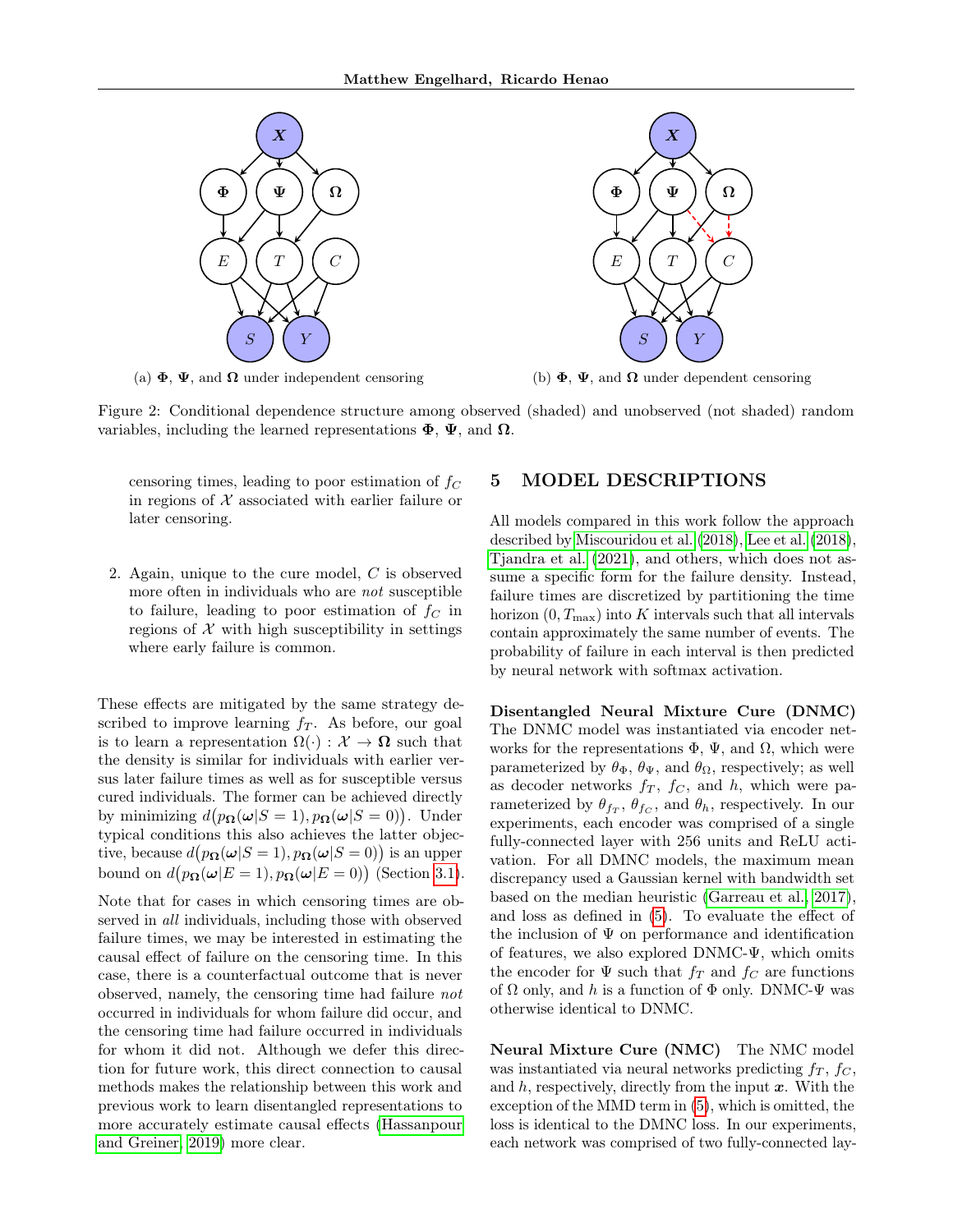<span id="page-4-0"></span>

(a)  $\Phi$ ,  $\Psi$ , and  $\Omega$  under independent censoring



(b)  $\Phi$ ,  $\Psi$ , and  $\Omega$  under dependent censoring

Figure 2: Conditional dependence structure among observed (shaded) and unobserved (not shaded) random variables, including the learned representations  $\Phi$ ,  $\Psi$ , and  $\Omega$ .

censoring times, leading to poor estimation of  $f_C$ in regions of  $X$  associated with earlier failure or later censoring.

2. Again, unique to the cure model, C is observed more often in individuals who are not susceptible to failure, leading to poor estimation of  $f_C$  in regions of  $X$  with high susceptibility in settings where early failure is common.

These effects are mitigated by the same strategy described to improve learning  $f<sub>T</sub>$ . As before, our goal is to learn a representation  $\Omega(\cdot): \mathcal{X} \to \Omega$  such that the density is similar for individuals with earlier versus later failure times as well as for susceptible versus cured individuals. The former can be achieved directly by minimizing  $d(p_{\mathbf{\Omega}}(\omega|S=1), p_{\mathbf{\Omega}}(\omega|S=0)).$  Under typical conditions this also achieves the latter objective, because  $d(p_{\mathbf{\Omega}}(\omega|S=1), p_{\mathbf{\Omega}}(\omega|S=0))$  is an upper bound on  $d(p_{\Omega}(\omega|E=1), p_{\Omega}(\omega|E=0))$  (Section [3.1\)](#page-3-0).

Note that for cases in which censoring times are observed in *all* individuals, including those with observed failure times, we may be interested in estimating the causal effect of failure on the censoring time. In this case, there is a counterfactual outcome that is never observed, namely, the censoring time had failure not occurred in individuals for whom failure did occur, and the censoring time had failure occurred in individuals for whom it did not. Although we defer this direction for future work, this direct connection to causal methods makes the relationship between this work and previous work to learn disentangled representations to more accurately estimate causal effects [\(Hassanpour](#page-9-3) [and Greiner, 2019\)](#page-9-3) more clear.

### 5 MODEL DESCRIPTIONS

All models compared in this work follow the approach described by [Miscouridou et al.](#page-9-5) [\(2018\)](#page-9-5), [Lee et al.](#page-9-0) [\(2018\)](#page-9-0), [Tjandra et al.](#page-9-2) [\(2021\)](#page-9-2), and others, which does not assume a specific form for the failure density. Instead, failure times are discretized by partitioning the time horizon  $(0, T<sub>max</sub>)$  into K intervals such that all intervals contain approximately the same number of events. The probability of failure in each interval is then predicted by neural network with softmax activation.

Disentangled Neural Mixture Cure (DNMC) The DNMC model was instantiated via encoder networks for the representations  $\Phi$ ,  $\Psi$ , and  $\Omega$ , which were parameterized by  $\theta_{\Phi}$ ,  $\theta_{\Psi}$ , and  $\theta_{\Omega}$ , respectively; as well as decoder networks  $f_T$ ,  $f_C$ , and  $h$ , which were parameterized by  $\theta_{f_T}$ ,  $\theta_{f_C}$ , and  $\theta_h$ , respectively. In our experiments, each encoder was comprised of a single fully-connected layer with 256 units and ReLU activation. For all DMNC models, the maximum mean discrepancy used a Gaussian kernel with bandwidth set based on the median heuristic [\(Garreau et al., 2017\)](#page-9-7), and loss as defined in [\(5\)](#page-3-1). To evaluate the effect of the inclusion of  $\Psi$  on performance and identification of features, we also explored DNMC-Ψ, which omits the encoder for  $\Psi$  such that  $f_T$  and  $f_C$  are functions of  $\Omega$  only, and h is a function of  $\Phi$  only. DNMC- $\Psi$  was otherwise identical to DNMC.

Neural Mixture Cure (NMC) The NMC model was instantiated via neural networks predicting  $f_T$ ,  $f_C$ , and  $h$ , respectively, directly from the input  $x$ . With the exception of the MMD term in [\(5\)](#page-3-1), which is omitted, the loss is identical to the DMNC loss. In our experiments, each network was comprised of two fully-connected lay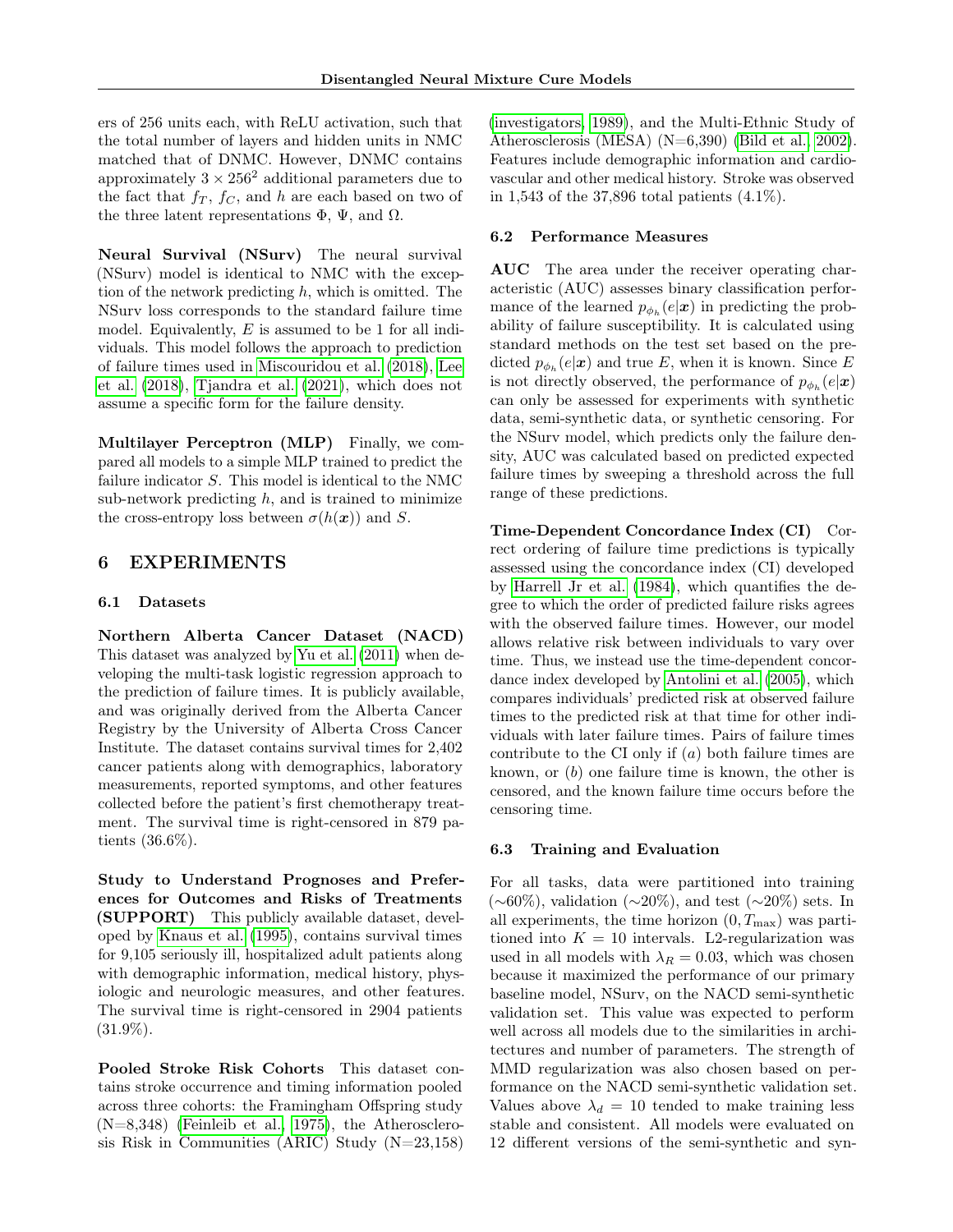ers of 256 units each, with ReLU activation, such that the total number of layers and hidden units in NMC matched that of DNMC. However, DNMC contains approximately  $3 \times 256^2$  additional parameters due to the fact that  $f_T$ ,  $f_C$ , and h are each based on two of the three latent representations  $\Phi$ ,  $\Psi$ , and  $\Omega$ .

Neural Survival (NSurv) The neural survival (NSurv) model is identical to NMC with the exception of the network predicting  $h$ , which is omitted. The NSurv loss corresponds to the standard failure time model. Equivalently,  $E$  is assumed to be 1 for all individuals. This model follows the approach to prediction of failure times used in [Miscouridou et al.](#page-9-5) [\(2018\)](#page-9-5), [Lee](#page-9-0) [et al.](#page-9-0) [\(2018\)](#page-9-0), [Tjandra et al.](#page-9-2) [\(2021\)](#page-9-2), which does not assume a specific form for the failure density.

Multilayer Perceptron (MLP) Finally, we compared all models to a simple MLP trained to predict the failure indicator S. This model is identical to the NMC sub-network predicting  $h$ , and is trained to minimize the cross-entropy loss between  $\sigma(h(\boldsymbol{x}))$  and S.

## 6 EXPERIMENTS

#### 6.1 Datasets

Northern Alberta Cancer Dataset (NACD) This dataset was analyzed by [Yu et al.](#page-9-8) [\(2011\)](#page-9-8) when developing the multi-task logistic regression approach to the prediction of failure times. It is publicly available, and was originally derived from the Alberta Cancer Registry by the University of Alberta Cross Cancer Institute. The dataset contains survival times for 2,402 cancer patients along with demographics, laboratory measurements, reported symptoms, and other features collected before the patient's first chemotherapy treatment. The survival time is right-censored in 879 patients (36.6%).

Study to Understand Prognoses and Preferences for Outcomes and Risks of Treatments (SUPPORT) This publicly available dataset, developed by [Knaus et al.](#page-9-9) [\(1995\)](#page-9-9), contains survival times for 9,105 seriously ill, hospitalized adult patients along with demographic information, medical history, physiologic and neurologic measures, and other features. The survival time is right-censored in 2904 patients  $(31.9\%).$ 

Pooled Stroke Risk Cohorts This dataset contains stroke occurrence and timing information pooled across three cohorts: the Framingham Offspring study  $(N=8,348)$  [\(Feinleib et al., 1975\)](#page-9-10), the Atherosclerosis Risk in Communities (ARIC) Study (N=23,158) [\(investigators, 1989\)](#page-9-11), and the Multi-Ethnic Study of Atherosclerosis (MESA) (N=6,390) [\(Bild et al., 2002\)](#page-9-12). Features include demographic information and cardiovascular and other medical history. Stroke was observed in 1,543 of the 37,896 total patients (4.1%).

#### 6.2 Performance Measures

AUC The area under the receiver operating characteristic (AUC) assesses binary classification performance of the learned  $p_{\phi_h}(e|\mathbf{x})$  in predicting the probability of failure susceptibility. It is calculated using standard methods on the test set based on the predicted  $p_{\phi_h}(e|\mathbf{x})$  and true E, when it is known. Since E is not directly observed, the performance of  $p_{\phi_h}(e|\mathbf{x})$ can only be assessed for experiments with synthetic data, semi-synthetic data, or synthetic censoring. For the NSurv model, which predicts only the failure density, AUC was calculated based on predicted expected failure times by sweeping a threshold across the full range of these predictions.

Time-Dependent Concordance Index (CI) Correct ordering of failure time predictions is typically assessed using the concordance index (CI) developed by [Harrell Jr et al.](#page-9-13) [\(1984\)](#page-9-13), which quantifies the degree to which the order of predicted failure risks agrees with the observed failure times. However, our model allows relative risk between individuals to vary over time. Thus, we instead use the time-dependent concordance index developed by [Antolini et al.](#page-9-14) [\(2005\)](#page-9-14), which compares individuals' predicted risk at observed failure times to the predicted risk at that time for other individuals with later failure times. Pairs of failure times contribute to the CI only if  $(a)$  both failure times are known, or (b) one failure time is known, the other is censored, and the known failure time occurs before the censoring time.

#### 6.3 Training and Evaluation

For all tasks, data were partitioned into training (∼60%), validation (∼20%), and test (∼20%) sets. In all experiments, the time horizon  $(0, T<sub>max</sub>)$  was partitioned into  $K = 10$  intervals. L2-regularization was used in all models with  $\lambda_R = 0.03$ , which was chosen because it maximized the performance of our primary baseline model, NSurv, on the NACD semi-synthetic validation set. This value was expected to perform well across all models due to the similarities in architectures and number of parameters. The strength of MMD regularization was also chosen based on performance on the NACD semi-synthetic validation set. Values above  $\lambda_d = 10$  tended to make training less stable and consistent. All models were evaluated on 12 different versions of the semi-synthetic and syn-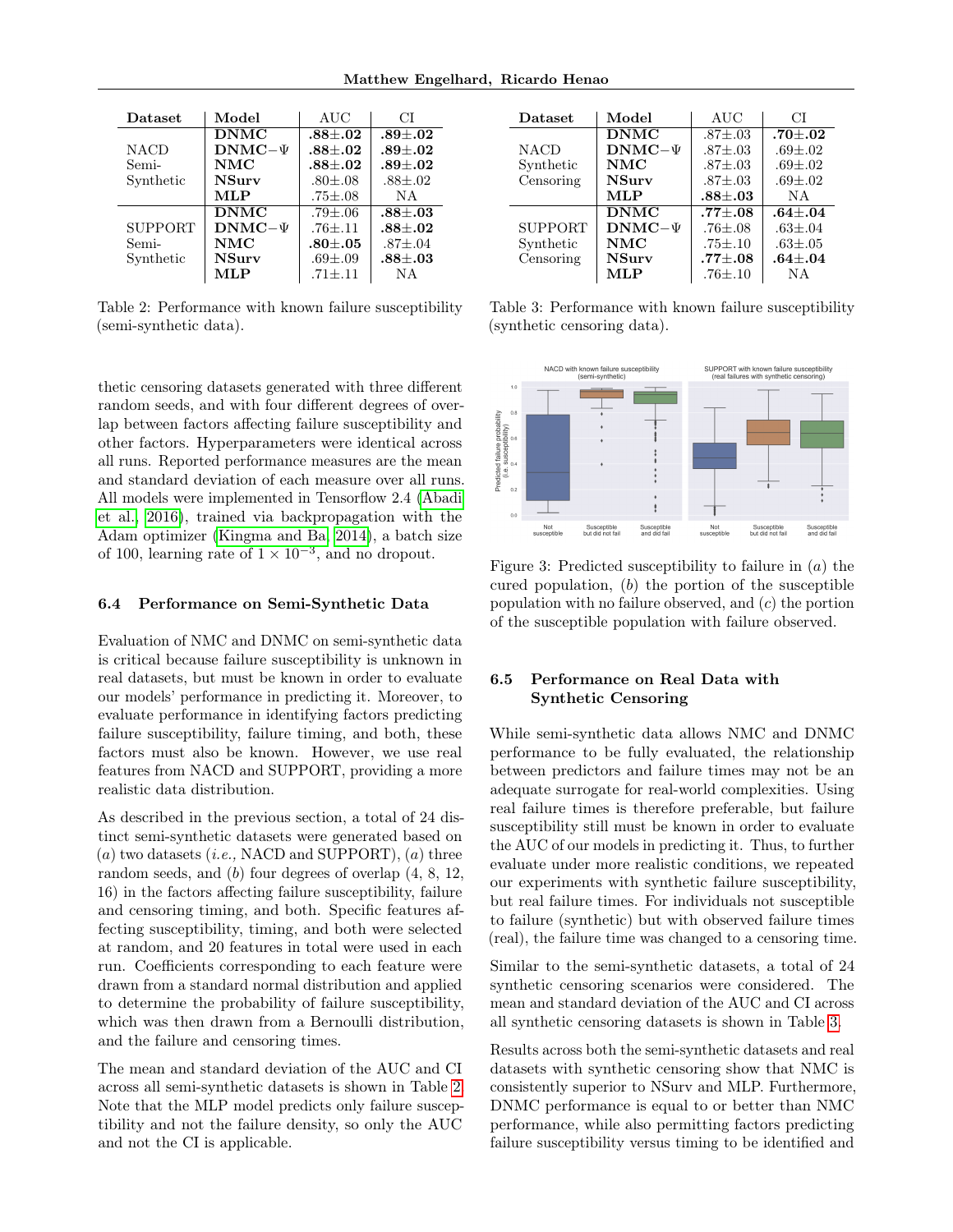<span id="page-6-0"></span>

| Dataset        | Model          | AUC             | CТ              |
|----------------|----------------|-----------------|-----------------|
|                | <b>DNMC</b>    | $.88 + .02$     | $.89 + .02$     |
| <b>NACD</b>    | $DNMC-\Psi$    | $.88 {\pm} .02$ | $.89 {\pm} .02$ |
| Semi-          | NMC            | $.88 + .02$     | $.89 {\pm} .02$ |
| Synthetic      | <b>NSurv</b>   | $.80{\pm} .08$  | $.88{\pm}.02$   |
|                | MLP            | $.75 {\pm} .08$ | N A             |
|                | <b>DNMC</b>    | $.79 {\pm} .06$ | $.88\pm.03$     |
| <b>SUPPORT</b> | $DNMC-\Psi$    | $.76{\pm}.11$   | $.88 + .02$     |
| Semi-          | $\mathbf{NMC}$ | $.80 {\pm} .05$ | $.87{\pm}.04$   |
| Synthetic      | <b>NSurv</b>   | $.69{\pm}.09$   | $.88 {\pm} .03$ |
|                | MLP            | $.71 + .11$     | N A             |

Table 2: Performance with known failure susceptibility (semi-synthetic data).

thetic censoring datasets generated with three different random seeds, and with four different degrees of overlap between factors affecting failure susceptibility and other factors. Hyperparameters were identical across all runs. Reported performance measures are the mean and standard deviation of each measure over all runs. All models were implemented in Tensorflow 2.4 [\(Abadi](#page-9-15) [et al., 2016\)](#page-9-15), trained via backpropagation with the Adam optimizer [\(Kingma and Ba, 2014\)](#page-9-16), a batch size of 100, learning rate of  $1 \times 10^{-3}$ , and no dropout.

#### 6.4 Performance on Semi-Synthetic Data

Evaluation of NMC and DNMC on semi-synthetic data is critical because failure susceptibility is unknown in real datasets, but must be known in order to evaluate our models' performance in predicting it. Moreover, to evaluate performance in identifying factors predicting failure susceptibility, failure timing, and both, these factors must also be known. However, we use real features from NACD and SUPPORT, providing a more realistic data distribution.

As described in the previous section, a total of 24 distinct semi-synthetic datasets were generated based on  $(a)$  two datasets (*i.e.*, NACD and SUPPORT),  $(a)$  three random seeds, and (b) four degrees of overlap (4, 8, 12, 16) in the factors affecting failure susceptibility, failure and censoring timing, and both. Specific features affecting susceptibility, timing, and both were selected at random, and 20 features in total were used in each run. Coefficients corresponding to each feature were drawn from a standard normal distribution and applied to determine the probability of failure susceptibility, which was then drawn from a Bernoulli distribution, and the failure and censoring times.

The mean and standard deviation of the AUC and CI across all semi-synthetic datasets is shown in Table [2.](#page-6-0) Note that the MLP model predicts only failure susceptibility and not the failure density, so only the AUC and not the CI is applicable.

<span id="page-6-1"></span>

| Dataset        | Model        | AUC             | CТ              |
|----------------|--------------|-----------------|-----------------|
|                | <b>DNMC</b>  | $.87 \pm .03$   | .70 $\pm .02$   |
| <b>NACD</b>    | $DMMC-\Psi$  | $.87 \pm .03$   | $.69 {\pm} .02$ |
| Synthetic      | <b>NMC</b>   | $.87 \pm .03$   | $.69 {\pm} .02$ |
| Censoring      | <b>NSurv</b> | $.87 \pm .03$   | $.69 {\pm} .02$ |
|                | MLP          | $.88 {\pm} .03$ | N A             |
|                | <b>DNMC</b>  | $.77 + .08$     | $.64 + .04$     |
| <b>SUPPORT</b> | $DNMC-\Psi$  | $.76{\pm}.08$   | $.63{\pm}.04$   |
| Synthetic      | <b>NMC</b>   | $.75{\pm}.10$   | $.63 {\pm} .05$ |
| Censoring      | <b>NSurv</b> | $.77 {\pm} .08$ | $.64 {\pm} .04$ |
|                | MLP          | $.76 {\pm} .10$ | ΝA              |

Table 3: Performance with known failure susceptibility (synthetic censoring data).



Figure 3: Predicted susceptibility to failure in  $(a)$  the cured population,  $(b)$  the portion of the susceptible population with no failure observed, and  $(c)$  the portion of the susceptible population with failure observed.

## 6.5 Performance on Real Data with Synthetic Censoring

While semi-synthetic data allows NMC and DNMC performance to be fully evaluated, the relationship between predictors and failure times may not be an adequate surrogate for real-world complexities. Using real failure times is therefore preferable, but failure susceptibility still must be known in order to evaluate the AUC of our models in predicting it. Thus, to further evaluate under more realistic conditions, we repeated our experiments with synthetic failure susceptibility, but real failure times. For individuals not susceptible to failure (synthetic) but with observed failure times (real), the failure time was changed to a censoring time.

Similar to the semi-synthetic datasets, a total of 24 synthetic censoring scenarios were considered. The mean and standard deviation of the AUC and CI across all synthetic censoring datasets is shown in Table [3.](#page-6-1)

Results across both the semi-synthetic datasets and real datasets with synthetic censoring show that NMC is consistently superior to NSurv and MLP. Furthermore, DNMC performance is equal to or better than NMC performance, while also permitting factors predicting failure susceptibility versus timing to be identified and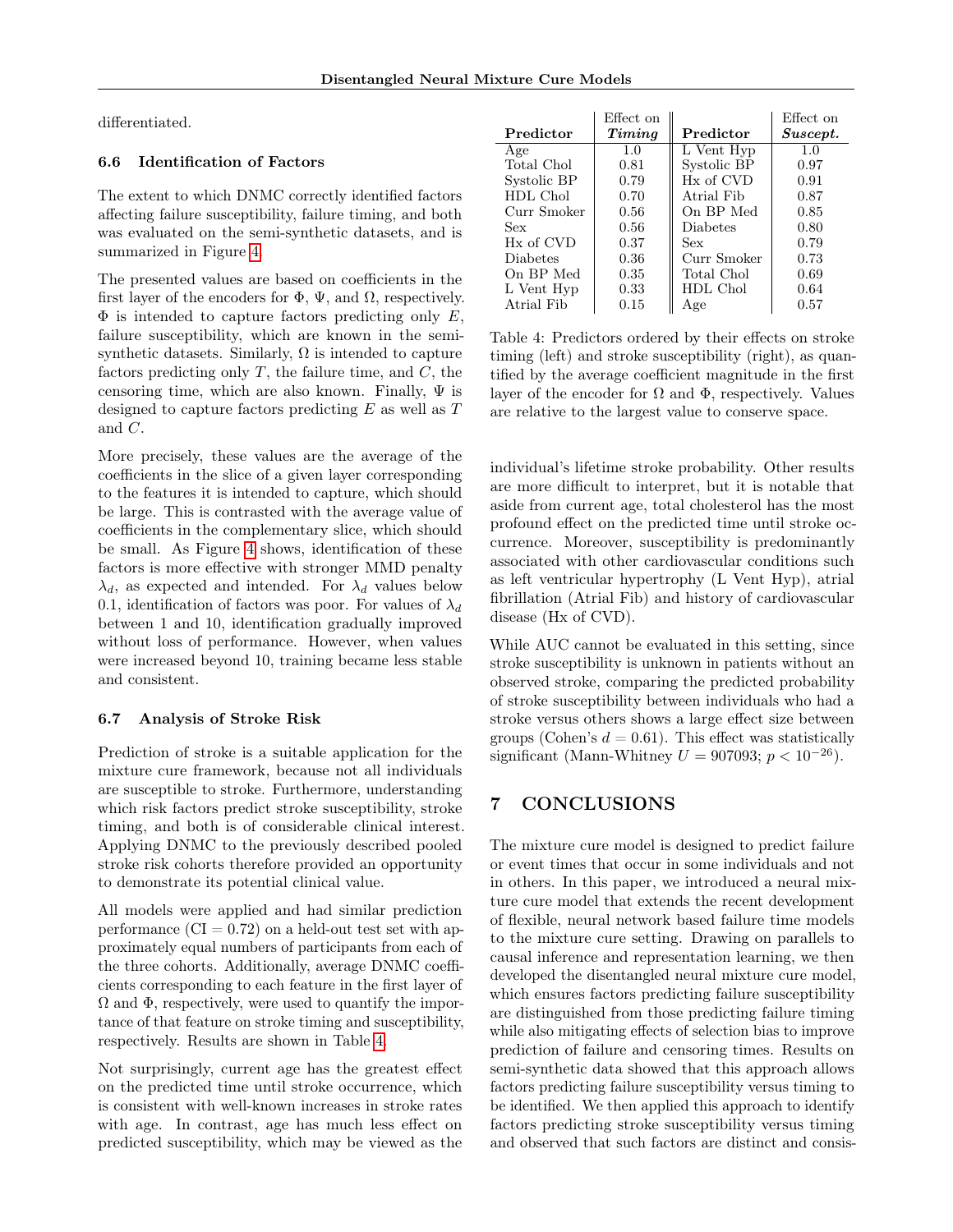differentiated.

## 6.6 Identification of Factors

The extent to which DNMC correctly identified factors affecting failure susceptibility, failure timing, and both was evaluated on the semi-synthetic datasets, and is summarized in Figure [4.](#page-8-12)

The presented values are based on coefficients in the first layer of the encoders for  $\Phi$ ,  $\Psi$ , and  $\Omega$ , respectively.  $\Phi$  is intended to capture factors predicting only E, failure susceptibility, which are known in the semisynthetic datasets. Similarly,  $\Omega$  is intended to capture factors predicting only  $T$ , the failure time, and  $C$ , the censoring time, which are also known. Finally,  $\Psi$  is designed to capture factors predicting  $E$  as well as  $T$ and C.

More precisely, these values are the average of the coefficients in the slice of a given layer corresponding to the features it is intended to capture, which should be large. This is contrasted with the average value of coefficients in the complementary slice, which should be small. As Figure [4](#page-8-12) shows, identification of these factors is more effective with stronger MMD penalty  $\lambda_d$ , as expected and intended. For  $\lambda_d$  values below 0.1, identification of factors was poor. For values of  $\lambda_d$ between 1 and 10, identification gradually improved without loss of performance. However, when values were increased beyond 10, training became less stable and consistent.

### 6.7 Analysis of Stroke Risk

Prediction of stroke is a suitable application for the mixture cure framework, because not all individuals are susceptible to stroke. Furthermore, understanding which risk factors predict stroke susceptibility, stroke timing, and both is of considerable clinical interest. Applying DNMC to the previously described pooled stroke risk cohorts therefore provided an opportunity to demonstrate its potential clinical value.

All models were applied and had similar prediction performance  $(CI = 0.72)$  on a held-out test set with approximately equal numbers of participants from each of the three cohorts. Additionally, average DNMC coefficients corresponding to each feature in the first layer of  $\Omega$  and  $\Phi$ , respectively, were used to quantify the importance of that feature on stroke timing and susceptibility, respectively. Results are shown in Table [4.](#page-7-0)

Not surprisingly, current age has the greatest effect on the predicted time until stroke occurrence, which is consistent with well-known increases in stroke rates with age. In contrast, age has much less effect on predicted susceptibility, which may be viewed as the

<span id="page-7-0"></span>

|                       | Effect on |                 | Effect on |
|-----------------------|-----------|-----------------|-----------|
| Predictor             | Timing    | Predictor       | Suscept.  |
| Age                   | 1.0       | L Vent Hyp      | 1.0       |
| Total Chol            | 0.81      | Systolic BP     | 0.97      |
| Systolic BP           | 0.79      | Hx of CVD       | 0.91      |
| HDL Chol              | 0.70      | Atrial Fib      | 0.87      |
| Curr Smoker           | 0.56      | On BP Med       | 0.85      |
| Sex                   | 0.56      | <b>Diabetes</b> | 0.80      |
| H <sub>x</sub> of CVD | 0.37      | Sex             | 0.79      |
| <b>Diabetes</b>       | 0.36      | Curr Smoker     | 0.73      |
| On BP Med             | 0.35      | Total Chol      | 0.69      |
| L Vent Hyp            | 0.33      | HDL Chol        | 0.64      |
| Atrial Fib            | 0.15      | Age             | 0.57      |

Table 4: Predictors ordered by their effects on stroke timing (left) and stroke susceptibility (right), as quantified by the average coefficient magnitude in the first layer of the encoder for  $\Omega$  and  $\Phi$ , respectively. Values are relative to the largest value to conserve space.

individual's lifetime stroke probability. Other results are more difficult to interpret, but it is notable that aside from current age, total cholesterol has the most profound effect on the predicted time until stroke occurrence. Moreover, susceptibility is predominantly associated with other cardiovascular conditions such as left ventricular hypertrophy (L Vent Hyp), atrial fibrillation (Atrial Fib) and history of cardiovascular disease (Hx of CVD).

While AUC cannot be evaluated in this setting, since stroke susceptibility is unknown in patients without an observed stroke, comparing the predicted probability of stroke susceptibility between individuals who had a stroke versus others shows a large effect size between groups (Cohen's  $d = 0.61$ ). This effect was statistically significant (Mann-Whitney  $U = 907093$ ;  $p < 10^{-26}$ ).

# 7 CONCLUSIONS

The mixture cure model is designed to predict failure or event times that occur in some individuals and not in others. In this paper, we introduced a neural mixture cure model that extends the recent development of flexible, neural network based failure time models to the mixture cure setting. Drawing on parallels to causal inference and representation learning, we then developed the disentangled neural mixture cure model, which ensures factors predicting failure susceptibility are distinguished from those predicting failure timing while also mitigating effects of selection bias to improve prediction of failure and censoring times. Results on semi-synthetic data showed that this approach allows factors predicting failure susceptibility versus timing to be identified. We then applied this approach to identify factors predicting stroke susceptibility versus timing and observed that such factors are distinct and consis-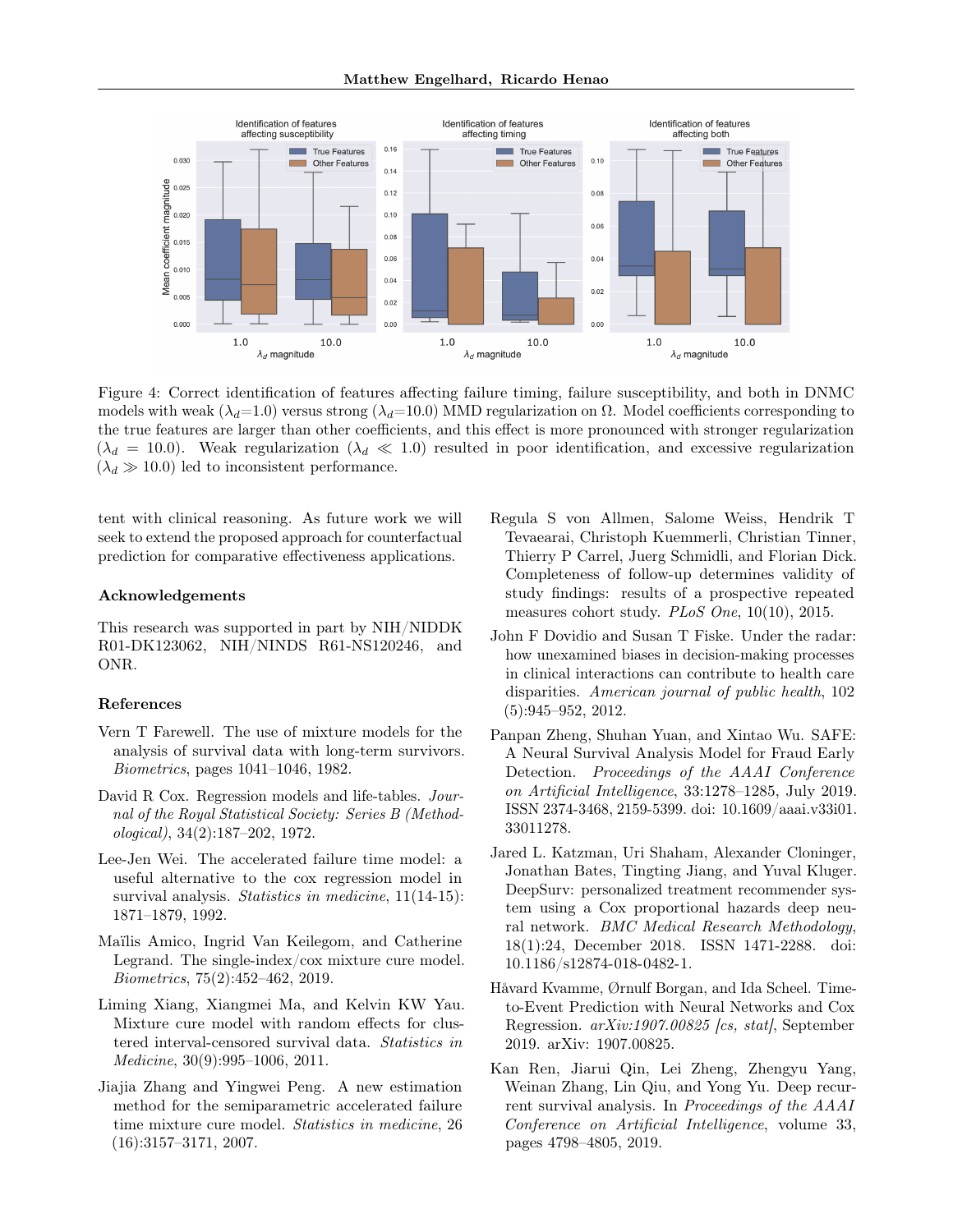<span id="page-8-12"></span>

Figure 4: Correct identification of features affecting failure timing, failure susceptibility, and both in DNMC models with weak ( $\lambda_d=1.0$ ) versus strong ( $\lambda_d=10.0$ ) MMD regularization on  $\Omega$ . Model coefficients corresponding to the true features are larger than other coefficients, and this effect is more pronounced with stronger regularization  $(\lambda_d = 10.0)$ . Weak regularization  $(\lambda_d \ll 1.0)$  resulted in poor identification, and excessive regularization  $(\lambda_d \gg 10.0)$  led to inconsistent performance.

tent with clinical reasoning. As future work we will seek to extend the proposed approach for counterfactual prediction for comparative effectiveness applications.

#### Acknowledgements

This research was supported in part by NIH/NIDDK R01-DK123062, NIH/NINDS R61-NS120246, and ONR.

#### References

- <span id="page-8-0"></span>Vern T Farewell. The use of mixture models for the analysis of survival data with long-term survivors. Biometrics, pages 1041–1046, 1982.
- <span id="page-8-1"></span>David R Cox. Regression models and life-tables. Journal of the Royal Statistical Society: Series B (Methodological), 34(2):187–202, 1972.
- <span id="page-8-2"></span>Lee-Jen Wei. The accelerated failure time model: a useful alternative to the cox regression model in survival analysis. Statistics in medicine, 11(14-15): 1871–1879, 1992.
- <span id="page-8-3"></span>Maïlis Amico, Ingrid Van Keilegom, and Catherine Legrand. The single-index/cox mixture cure model. Biometrics, 75(2):452–462, 2019.
- <span id="page-8-4"></span>Liming Xiang, Xiangmei Ma, and Kelvin KW Yau. Mixture cure model with random effects for clustered interval-censored survival data. Statistics in Medicine, 30(9):995–1006, 2011.
- <span id="page-8-5"></span>Jiajia Zhang and Yingwei Peng. A new estimation method for the semiparametric accelerated failure time mixture cure model. Statistics in medicine, 26 (16):3157–3171, 2007.
- <span id="page-8-6"></span>Regula S von Allmen, Salome Weiss, Hendrik T Tevaearai, Christoph Kuemmerli, Christian Tinner, Thierry P Carrel, Juerg Schmidli, and Florian Dick. Completeness of follow-up determines validity of study findings: results of a prospective repeated measures cohort study. PLoS One, 10(10), 2015.
- <span id="page-8-7"></span>John F Dovidio and Susan T Fiske. Under the radar: how unexamined biases in decision-making processes in clinical interactions can contribute to health care disparities. American journal of public health, 102 (5):945–952, 2012.
- <span id="page-8-8"></span>Panpan Zheng, Shuhan Yuan, and Xintao Wu. SAFE: A Neural Survival Analysis Model for Fraud Early Detection. Proceedings of the AAAI Conference on Artificial Intelligence, 33:1278–1285, July 2019. ISSN 2374-3468, 2159-5399. doi: 10.1609/aaai.v33i01. 33011278.
- <span id="page-8-9"></span>Jared L. Katzman, Uri Shaham, Alexander Cloninger, Jonathan Bates, Tingting Jiang, and Yuval Kluger. DeepSurv: personalized treatment recommender system using a Cox proportional hazards deep neural network. BMC Medical Research Methodology, 18(1):24, December 2018. ISSN 1471-2288. doi: 10.1186/s12874-018-0482-1.
- <span id="page-8-10"></span>Håvard Kvamme, Ørnulf Borgan, and Ida Scheel. Timeto-Event Prediction with Neural Networks and Cox Regression. arXiv:1907.00825 [cs, stat], September 2019. arXiv: 1907.00825.
- <span id="page-8-11"></span>Kan Ren, Jiarui Qin, Lei Zheng, Zhengyu Yang, Weinan Zhang, Lin Qiu, and Yong Yu. Deep recurrent survival analysis. In Proceedings of the AAAI Conference on Artificial Intelligence, volume 33, pages 4798–4805, 2019.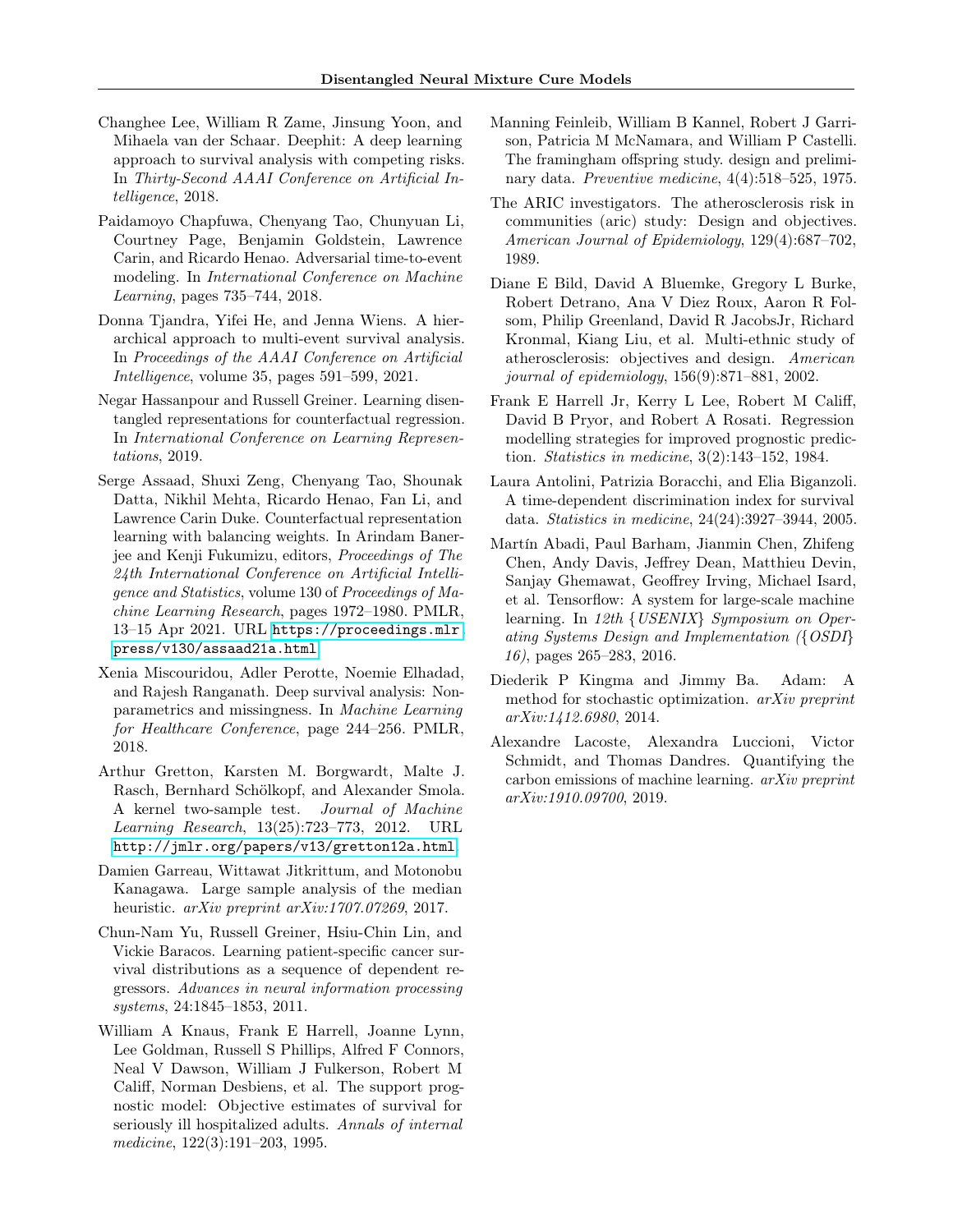- <span id="page-9-0"></span>Changhee Lee, William R Zame, Jinsung Yoon, and Mihaela van der Schaar. Deephit: A deep learning approach to survival analysis with competing risks. In Thirty-Second AAAI Conference on Artificial Intelligence, 2018.
- <span id="page-9-1"></span>Paidamoyo Chapfuwa, Chenyang Tao, Chunyuan Li, Courtney Page, Benjamin Goldstein, Lawrence Carin, and Ricardo Henao. Adversarial time-to-event modeling. In International Conference on Machine Learning, pages 735–744, 2018.
- <span id="page-9-2"></span>Donna Tjandra, Yifei He, and Jenna Wiens. A hierarchical approach to multi-event survival analysis. In Proceedings of the AAAI Conference on Artificial Intelligence, volume 35, pages 591–599, 2021.
- <span id="page-9-3"></span>Negar Hassanpour and Russell Greiner. Learning disentangled representations for counterfactual regression. In International Conference on Learning Representations, 2019.
- <span id="page-9-4"></span>Serge Assaad, Shuxi Zeng, Chenyang Tao, Shounak Datta, Nikhil Mehta, Ricardo Henao, Fan Li, and Lawrence Carin Duke. Counterfactual representation learning with balancing weights. In Arindam Banerjee and Kenji Fukumizu, editors, Proceedings of The 24th International Conference on Artificial Intelligence and Statistics, volume 130 of Proceedings of Machine Learning Research, pages 1972–1980. PMLR, 13–15 Apr 2021. URL [https://proceedings.mlr.](https://proceedings.mlr.press/v130/assaad21a.html) [press/v130/assaad21a.html](https://proceedings.mlr.press/v130/assaad21a.html).
- <span id="page-9-5"></span>Xenia Miscouridou, Adler Perotte, Noemie Elhadad, and Rajesh Ranganath. Deep survival analysis: Nonparametrics and missingness. In Machine Learning for Healthcare Conference, page 244–256. PMLR, 2018.
- <span id="page-9-6"></span>Arthur Gretton, Karsten M. Borgwardt, Malte J. Rasch, Bernhard Schölkopf, and Alexander Smola. A kernel two-sample test. Journal of Machine Learning Research, 13(25):723–773, 2012. URL <http://jmlr.org/papers/v13/gretton12a.html>.
- <span id="page-9-7"></span>Damien Garreau, Wittawat Jitkrittum, and Motonobu Kanagawa. Large sample analysis of the median heuristic. *arXiv preprint arXiv:1707.07269*, 2017.
- <span id="page-9-8"></span>Chun-Nam Yu, Russell Greiner, Hsiu-Chin Lin, and Vickie Baracos. Learning patient-specific cancer survival distributions as a sequence of dependent regressors. Advances in neural information processing systems, 24:1845–1853, 2011.
- <span id="page-9-9"></span>William A Knaus, Frank E Harrell, Joanne Lynn, Lee Goldman, Russell S Phillips, Alfred F Connors, Neal V Dawson, William J Fulkerson, Robert M Califf, Norman Desbiens, et al. The support prognostic model: Objective estimates of survival for seriously ill hospitalized adults. Annals of internal medicine, 122(3):191–203, 1995.
- <span id="page-9-10"></span>Manning Feinleib, William B Kannel, Robert J Garrison, Patricia M McNamara, and William P Castelli. The framingham offspring study. design and preliminary data. Preventive medicine, 4(4):518–525, 1975.
- <span id="page-9-11"></span>The ARIC investigators. The atherosclerosis risk in communities (aric) study: Design and objectives. American Journal of Epidemiology, 129(4):687–702, 1989.
- <span id="page-9-12"></span>Diane E Bild, David A Bluemke, Gregory L Burke, Robert Detrano, Ana V Diez Roux, Aaron R Folsom, Philip Greenland, David R JacobsJr, Richard Kronmal, Kiang Liu, et al. Multi-ethnic study of atherosclerosis: objectives and design. American journal of epidemiology, 156(9):871–881, 2002.
- <span id="page-9-13"></span>Frank E Harrell Jr, Kerry L Lee, Robert M Califf, David B Pryor, and Robert A Rosati. Regression modelling strategies for improved prognostic prediction. Statistics in medicine, 3(2):143–152, 1984.
- <span id="page-9-14"></span>Laura Antolini, Patrizia Boracchi, and Elia Biganzoli. A time-dependent discrimination index for survival data. Statistics in medicine, 24(24):3927–3944, 2005.
- <span id="page-9-15"></span>Martín Abadi, Paul Barham, Jianmin Chen, Zhifeng Chen, Andy Davis, Jeffrey Dean, Matthieu Devin, Sanjay Ghemawat, Geoffrey Irving, Michael Isard, et al. Tensorflow: A system for large-scale machine learning. In 12th {USENIX} Symposium on Operating Systems Design and Implementation ({OSDI} 16), pages 265–283, 2016.
- <span id="page-9-16"></span>Diederik P Kingma and Jimmy Ba. Adam: A method for stochastic optimization. arXiv preprint arXiv:1412.6980, 2014.
- <span id="page-9-17"></span>Alexandre Lacoste, Alexandra Luccioni, Victor Schmidt, and Thomas Dandres. Quantifying the carbon emissions of machine learning. arXiv preprint arXiv:1910.09700, 2019.